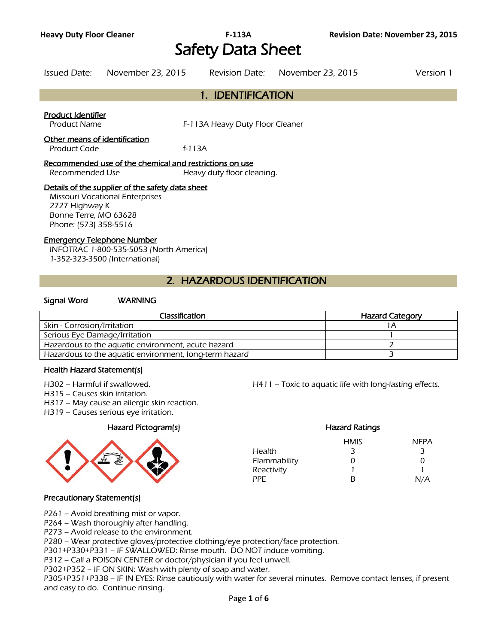# Safety Data Sheet

Issued Date: November 23, 2015 Revision Date: November 23, 2015 Version 1

|                                           | 1. IDENTIFICATION               |  |
|-------------------------------------------|---------------------------------|--|
| Product Identifier<br><b>Product Name</b> | F-113A Heavy Duty Floor Cleaner |  |
| Other means of identification             |                                 |  |
| <b>Product Code</b>                       | f-113A                          |  |

#### Recommended use of the chemical and restrictions on use

Recommended Use Heavy duty floor cleaning.

#### Details of the supplier of the safety data sheet

Missouri Vocational Enterprises 2727 Highway K Bonne Terre, MO 63628 Phone: (573) 358-5516

#### Emergency Telephone Number

INFOTRAC 1-800-535-5053 (North America) 1-352-323-3500 (International)

# 2. HAZARDOUS IDENTIFICATION

#### Signal Word WARNING

| Classification                                         | <b>Hazard Category</b> |
|--------------------------------------------------------|------------------------|
| Skin - Corrosion/Irritation                            |                        |
| Serious Eye Damage/Irritation                          |                        |
| Hazardous to the aquatic environment, acute hazard     |                        |
| Hazardous to the aquatic environment, long-term hazard |                        |
|                                                        |                        |

#### Health Hazard Statement(s)

- 
- H315 Causes skin irritation.
- H317 May cause an allergic skin reaction.
- H319 Causes serious eye irritation.

#### Hazard Pictogram(s) Hazard Ratings



H302 – Harmful if swallowed. H411 – Toxic to aquatic life with long-lasting effects.

# HMIS NFPA Health 3 3 3 Flammability 0 0 0 0 Reactivity 1 1 PPE B N/A

#### Precautionary Statement(s)

P261 – Avoid breathing mist or vapor.

P264 – Wash thoroughly after handling.

P273 – Avoid release to the environment.

P280 – Wear protective gloves/protective clothing/eye protection/face protection.

P301+P330+P331 – IF SWALLOWED: Rinse mouth. DO NOT induce vomiting.

P312 – Call a POISON CENTER or doctor/physician if you feel unwell.

P302+P352 – IF ON SKIN: Wash with plenty of soap and water.

P305+P351+P338 – IF IN EYES: Rinse cautiously with water for several minutes. Remove contact lenses, if present and easy to do. Continue rinsing.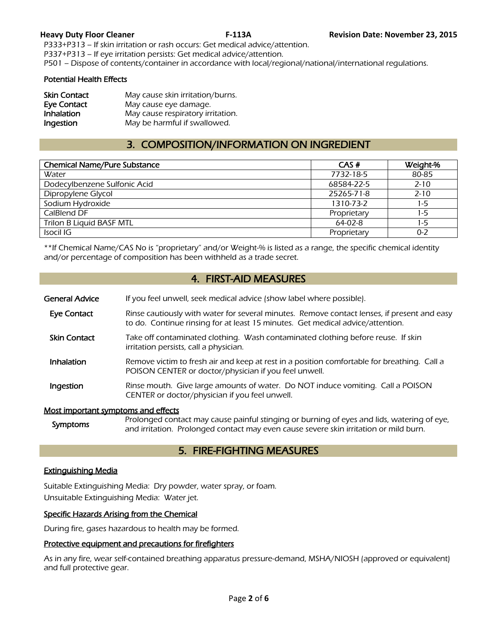P333+P313 – If skin irritation or rash occurs: Get medical advice/attention. P337+P313 – If eye irritation persists: Get medical advice/attention.

P501 – Dispose of contents/container in accordance with local/regional/national/international regulations.

#### Potential Health Effects

| <b>Skin Contact</b> | May cause skin irritation/burns.  |
|---------------------|-----------------------------------|
| <b>Eye Contact</b>  | May cause eye damage.             |
| <b>Inhalation</b>   | May cause respiratory irritation. |
| Ingestion           | May be harmful if swallowed.      |

# 3. COMPOSITION/INFORMATION ON INGREDIENT

| <b>Chemical Name/Pure Substance</b> | CAS#        | Weight-% |
|-------------------------------------|-------------|----------|
| Water                               | 7732-18-5   | 80-85    |
| Dodecylbenzene Sulfonic Acid        | 68584-22-5  | $2 - 10$ |
| Dipropylene Glycol                  | 25265-71-8  | $2 - 10$ |
| Sodium Hydroxide                    | 1310-73-2   | 1-5      |
| CalBlend DF                         | Proprietary | 1-5      |
| Trilon B Liquid BASF MTL            | $64-02-8$   | 1-5      |
| Isocil IG                           | Proprietary | $0 - 2$  |
|                                     |             |          |

\*\*If Chemical Name/CAS No is "proprietary" and/or Weight-% is listed as a range, the specific chemical identity and/or percentage of composition has been withheld as a trade secret.

# 4. FIRST-AID MEASURES

| <b>General Advice</b>               | If you feel unwell, seek medical advice (show label where possible).                                                                                                          |
|-------------------------------------|-------------------------------------------------------------------------------------------------------------------------------------------------------------------------------|
| Eye Contact                         | Rinse cautiously with water for several minutes. Remove contact lenses, if present and easy<br>to do. Continue rinsing for at least 15 minutes. Get medical advice/attention. |
| <b>Skin Contact</b>                 | Take off contaminated clothing. Wash contaminated clothing before reuse. If skin<br>irritation persists, call a physician.                                                    |
| <b>Inhalation</b>                   | Remove victim to fresh air and keep at rest in a position comfortable for breathing. Call a<br>POISON CENTER or doctor/physician if you feel unwell.                          |
| Ingestion                           | Rinse mouth. Give large amounts of water. Do NOT induce vomiting. Call a POISON<br>CENTER or doctor/physician if you feel unwell.                                             |
| Most important symptoms and effects |                                                                                                                                                                               |

#### Most important symptoms and effects

Symptoms Prolonged contact may cause painful stinging or burning of eyes and lids, watering of eye,<br>symptoms and initiation. Butlet and contact may sure acuse as we also initation as well burn and irritation. Prolonged contact may even cause severe skin irritation or mild burn.

# 5. FIRE-FIGHTING MEASURES

# Extinguishing Media

Suitable Extinguishing Media: Dry powder, water spray, or foam. Unsuitable Extinguishing Media: Water jet.

# Specific Hazards Arising from the Chemical

During fire, gases hazardous to health may be formed.

# Protective equipment and precautions for firefighters

As in any fire, wear self-contained breathing apparatus pressure-demand, MSHA/NIOSH (approved or equivalent) and full protective gear.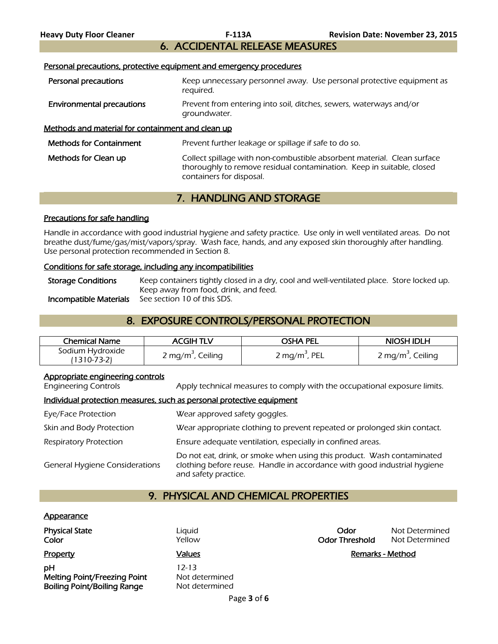6. ACCIDENTAL RELEASE MEASURES

# Personal precautions, protective equipment and emergency procedures

| Personal precautions                              | Keep unnecessary personnel away. Use personal protective equipment as<br>reguired.                                                                                           |
|---------------------------------------------------|------------------------------------------------------------------------------------------------------------------------------------------------------------------------------|
| <b>Environmental precautions</b>                  | Prevent from entering into soil, ditches, sewers, waterways and/or<br>groundwater.                                                                                           |
| Methods and material for containment and clean up |                                                                                                                                                                              |
| <b>Methods for Containment</b>                    | Prevent further leakage or spillage if safe to do so.                                                                                                                        |
| Methods for Clean up                              | Collect spillage with non-combustible absorbent material. Clean surface<br>thoroughly to remove residual contamination. Keep in suitable, closed<br>containers for disposal. |

# 7. HANDLING AND STORAGE

# Precautions for safe handling

Handle in accordance with good industrial hygiene and safety practice. Use only in well ventilated areas. Do not breathe dust/fume/gas/mist/vapors/spray. Wash face, hands, and any exposed skin thoroughly after handling. Use personal protection recommended in Section 8.

#### Conditions for safe storage, including any incompatibilities

Storage Conditions Keep containers tightly closed in a dry, cool and well-ventilated place. Store locked up. Keep away from food, drink, and feed. Incompatible Materials See section 10 of this SDS.

# 8. EXPOSURE CONTROLS/PERSONAL PROTECTION

| <b>Chemical Name</b>            | ACGIH TLV                     | osha pel                  | <b>NIOSH IDLH</b>             |
|---------------------------------|-------------------------------|---------------------------|-------------------------------|
| Sodium Hydroxide<br>(1310-73-2) | 2 mg/m <sup>3</sup> , Ceiling | 2 mg/m <sup>3</sup> , PEL | 2 mg/m <sup>3</sup> , Ceiling |

# Appropriate engineering controls

Engineering Controls Apply technical measures to comply with the occupational exposure limits.

# Individual protection measures, such as personal protective equipment

| Eye/Face Protection                   | Wear approved safety goggles.                                                                                                                                              |
|---------------------------------------|----------------------------------------------------------------------------------------------------------------------------------------------------------------------------|
| Skin and Body Protection              | Wear appropriate clothing to prevent repeated or prolonged skin contact.                                                                                                   |
| <b>Respiratory Protection</b>         | Ensure adequate ventilation, especially in confined areas.                                                                                                                 |
| <b>General Hygiene Considerations</b> | Do not eat, drink, or smoke when using this product. Wash contaminated<br>clothing before reuse. Handle in accordance with good industrial hygiene<br>and safety practice. |

# 9. PHYSICAL AND CHEMICAL PROPERTIES

#### **Appearance**

| <b>Physical State</b><br>Color                                           | Liguid<br>Yellow                          | Odor<br><b>Odor Threshold</b> | Not Determined<br>Not Determined |
|--------------------------------------------------------------------------|-------------------------------------------|-------------------------------|----------------------------------|
| Property                                                                 | <b>Values</b>                             | Remarks - Method              |                                  |
| pН<br>Melting Point/Freezing Point<br><b>Boiling Point/Boiling Range</b> | 12-13<br>Not determined<br>Not determined |                               |                                  |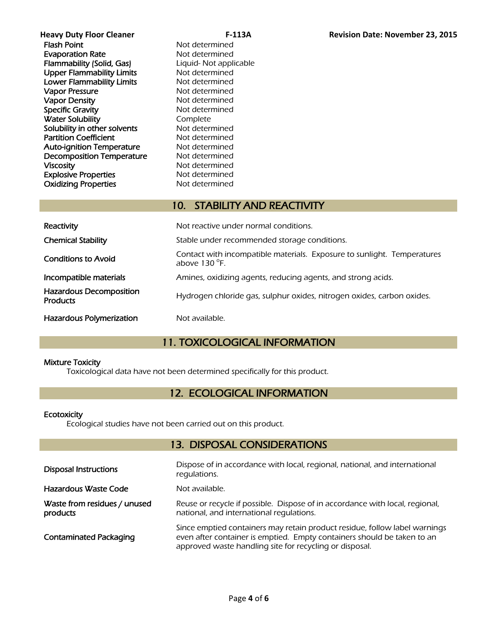**Heavy Duty Floor Cleaner Reavy Duty Floor Cleaner Reavy Duty Floor Cleaner Revision Date: November 23, 2015**<br>**Revision Date: November 23, 2015** Evaporation Rate Not determined **Flammability (Solid, Gas)** Liquid- Not applicable<br>
Upper Flammability Limits Mot determined Upper Flammability Limits Lower Flammability Limits Not determined Vapor Pressure **Not determined** Vapor Density Not determined Specific Gravity Not determined Water Solubility **Complete** Solubility in other solvents Not determined Partition Coefficient Not determined **Auto-ignition Temperature** Not determined<br> **Decomposition Temperature** Not determined Decomposition Temperature Viscosity **Not determined** Explosive Properties Not determined Oxidizing Properties Not determined

Not determined

# 10. STABILITY AND REACTIVITY

| Reactivity                                        | Not reactive under normal conditions.                                                             |
|---------------------------------------------------|---------------------------------------------------------------------------------------------------|
| <b>Chemical Stability</b>                         | Stable under recommended storage conditions.                                                      |
| <b>Conditions to Avoid</b>                        | Contact with incompatible materials. Exposure to sunlight. Temperatures<br>above 130 $\degree$ E. |
| Incompatible materials                            | Amines, oxidizing agents, reducing agents, and strong acids.                                      |
| <b>Hazardous Decomposition</b><br><b>Products</b> | Hydrogen chloride gas, sulphur oxides, nitrogen oxides, carbon oxides.                            |
| <b>Hazardous Polymerization</b>                   | Not available.                                                                                    |

# 11. TOXICOLOGICAL INFORMATION

# Mixture Toxicity

Toxicological data have not been determined specifically for this product.

# 12. ECOLOGICAL INFORMATION

# **Ecotoxicity**

Ecological studies have not been carried out on this product.

# 13. DISPOSAL CONSIDERATIONS

| <b>Disposal Instructions</b>             | Dispose of in accordance with local, regional, national, and international<br>requlations.                                                                                                                       |
|------------------------------------------|------------------------------------------------------------------------------------------------------------------------------------------------------------------------------------------------------------------|
| Hazardous Waste Code                     | Not available.                                                                                                                                                                                                   |
| Waste from residues / unused<br>products | Reuse or recycle if possible. Dispose of in accordance with local, regional,<br>national, and international regulations.                                                                                         |
| <b>Contaminated Packaging</b>            | Since emptied containers may retain product residue, follow label warnings<br>even after container is emptied. Empty containers should be taken to an<br>approved waste handling site for recycling or disposal. |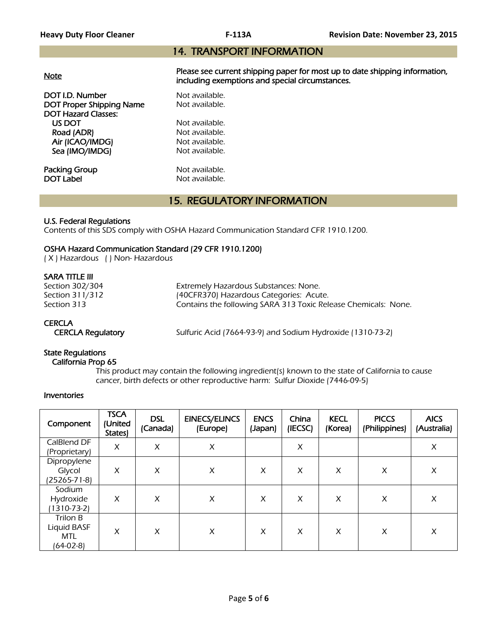# 14. TRANSPORT INFORMATION

|--|

Please see current shipping paper for most up to date shipping information, including exemptions and special circumstances.

DOT I.D. Number Not available. DOT Proper Shipping Name Not available. DOT Hazard Classes: US DOT Not available.<br>
Road (ADR) Not available. Road (ADR) Air (ICAO/IMDG) Not available. Sea (IMO/IMDG) Not available.

**Packing Group Not available.**<br> **DOT Label Not available.** 

Not available.

# 15. REGULATORY INFORMATION

# U.S. Federal Regulations

Contents of this SDS comply with OSHA Hazard Communication Standard CFR 1910.1200.

# OSHA Hazard Communication Standard (29 CFR 1910.1200)

( X ) Hazardous ( ) Non- Hazardous

# SARA TITLE III

| Section 302/304 | Extremely Hazardous Substances: None.                          |
|-----------------|----------------------------------------------------------------|
| Section 311/312 | (40CFR370) Hazardous Categories: Acute.                        |
| Section 313     | Contains the following SARA 313 Toxic Release Chemicals: None. |

# **CERCLA**

CERCLA Regulatory Sulfuric Acid (7664-93-9) and Sodium Hydroxide (1310-73-2)

# State Regulations

# California Prop 65

 This product may contain the following ingredient(s) known to the state of California to cause cancer, birth defects or other reproductive harm: Sulfur Dioxide (7446-09-5)

#### Inventories

| Component                                          | <b>TSCA</b><br>(United<br>States) | <b>DSL</b><br>(Canada) | <b>EINECS/ELINCS</b><br>(Europe) | <b>ENCS</b><br>(Japan) | China<br>(IECSC) | <b>KECL</b><br>(Korea) | <b>PICCS</b><br>(Philippines) | <b>AICS</b><br>(Australia) |
|----------------------------------------------------|-----------------------------------|------------------------|----------------------------------|------------------------|------------------|------------------------|-------------------------------|----------------------------|
| CalBlend DF<br>(Proprietary)                       | X                                 | X                      | X                                |                        | X                |                        |                               | X                          |
| Dipropylene<br>Glycol<br>(25265-71-8)              | X                                 | X                      | X                                | X                      | X                | X                      | X                             | X                          |
| Sodium<br>Hydroxide<br>$1310 - 73 - 2$             | X                                 | X                      | X                                | X                      | X                | X                      | X                             | X                          |
| Trilon B<br>Liquid BASF<br><b>MTL</b><br>(64-02-8) | X                                 | X                      | X                                | X                      | X                | X                      | X                             | X                          |